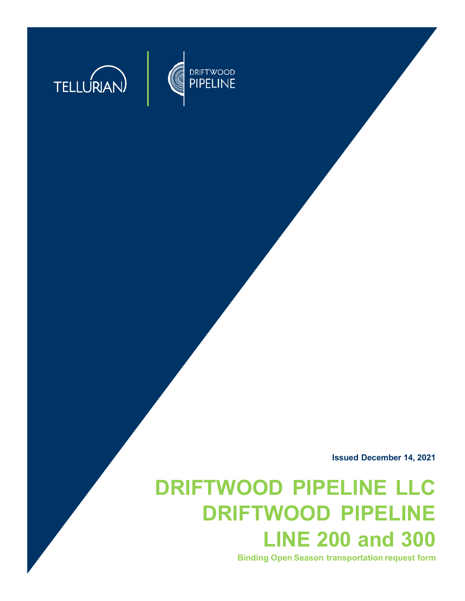

**TELLURIAN** 



# **DRIFTWOOD PIPELINE LLC DRIFTWOOD PIPELINE LINE 200 and 300**

**Binding Open Season transportation request form**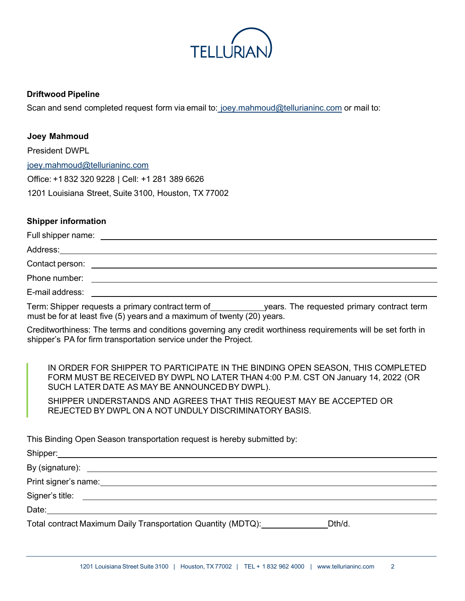

#### **Driftwood Pipeline**

Scan and send completed request form via email to: [joey.mahmoud@tellurianinc.com](mailto:joey.mahmoud@tellurianinc.com) or mail to:

### **Joey Mahmoud**

| <b>President DWPL</b>                                |
|------------------------------------------------------|
| joey.mahmoud@tellurianinc.com                        |
| Office: +1 832 320 9228   Cell: +1 281 389 6626      |
| 1201 Louisiana Street, Suite 3100, Houston, TX 77002 |

## **Shipper information**

| Phone number:   | <u> 1989 - Johann Harry Harry Harry Harry Harry Harry Harry Harry Harry Harry Harry Harry Harry Harry Harry Harry</u> |
|-----------------|-----------------------------------------------------------------------------------------------------------------------|
| E-mail address: |                                                                                                                       |
|                 |                                                                                                                       |

Term: Shipper requests a primary contract term of years. The requested primary contract term must be for at least five (5) years and a maximum of twenty (20) years.

Creditworthiness: The terms and conditions governing any credit worthiness requirements will be set forth in shipper's PA for firm transportation service under the Project.

IN ORDER FOR SHIPPER TO PARTICIPATE IN THE BINDING OPEN SEASON, THIS COMPLETED FORM MUST BE RECEIVED BY DWPL NO LATER THAN 4:00 P.M. CST ON January 14, 2022 (OR SUCH LATER DATE AS MAY BE ANNOUNCEDBY DWPL).

SHIPPER UNDERSTANDS AND AGREES THAT THIS REQUEST MAY BE ACCEPTED OR REJECTED BY DWPL ON A NOT UNDULY DISCRIMINATORY BASIS.

This Binding Open Season transportation request is hereby submitted by:

Shipper: By (signature):  $\overline{a}$ Print signer's name: \_ Signer's title: Date: **Date:** Total contract Maximum Daily Transportation Quantity (MDTQ): Dth/d.